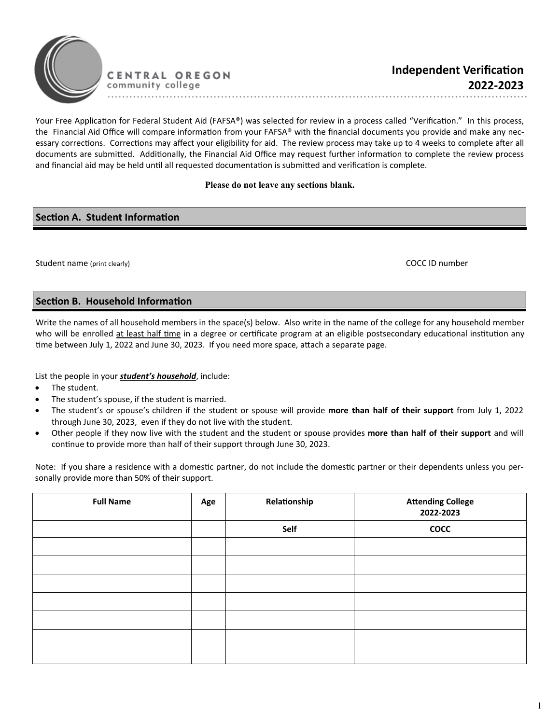

Your Free Application for Federal Student Aid (FAFSA®) was selected for review in a process called "Verification." In this process, the Financial Aid Office will compare information from your FAFSA® with the financial documents you provide and make any necessary corrections. Corrections may affect your eligibility for aid. The review process may take up to 4 weeks to complete after all documents are submitted. Additionally, the Financial Aid Office may request further information to complete the review process and financial aid may be held until all requested documentation is submitted and verification is complete.

## **Please do not leave any sections blank.**

## **Section A. Student Information**

Student name (print clearly) COCC ID number

## **Section B. Household Information**

Write the names of all household members in the space(s) below. Also write in the name of the college for any household member who will be enrolled at least half time in a degree or certificate program at an eligible postsecondary educational institution any time between July 1, 2022 and June 30, 2023. If you need more space, attach a separate page.

List the people in your *student's household*, include:

- The student.
- The student's spouse, if the student is married.
- The student's or spouse's children if the student or spouse will provide **more than half of their support** from July 1, 2022 through June 30, 2023, even if they do not live with the student.
- Other people if they now live with the student and the student or spouse provides **more than half of their support** and will continue to provide more than half of their support through June 30, 2023.

Note: If you share a residence with a domestic partner, do not include the domestic partner or their dependents unless you personally provide more than 50% of their support.

| <b>Full Name</b> | Age | Relationship | <b>Attending College</b><br>2022-2023 |
|------------------|-----|--------------|---------------------------------------|
|                  |     | Self         | <b>COCC</b>                           |
|                  |     |              |                                       |
|                  |     |              |                                       |
|                  |     |              |                                       |
|                  |     |              |                                       |
|                  |     |              |                                       |
|                  |     |              |                                       |
|                  |     |              |                                       |